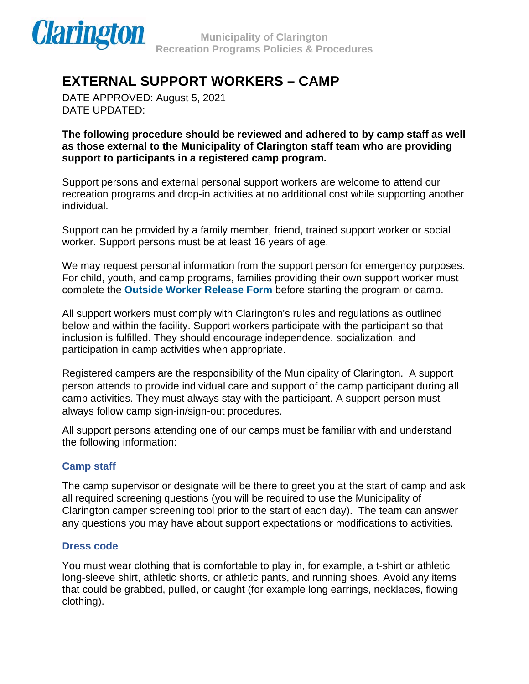

DATE APPROVED: August 5, 2021 DATE UPDATED:

**The following procedure should be reviewed and adhered to by camp staff as well as those external to the Municipality of Clarington staff team who are providing support to participants in a registered camp program.** 

Support persons and external personal support workers are welcome to attend our recreation programs and drop-in activities at no additional cost while supporting another individual.

Support can be provided by a family member, friend, trained support worker or social worker. Support persons must be at least 16 years of age.

We may request personal information from the support person for emergency purposes. For child, youth, and camp programs, families providing their own support worker must complete the **[Outside Worker Release Form](https://forms.clarington.net/Community-Services/Outside-Support-Worker-Release-Form)** before starting the program or camp.

All support workers must comply with Clarington's rules and regulations as outlined below and within the facility. Support workers participate with the participant so that inclusion is fulfilled. They should encourage independence, socialization, and participation in camp activities when appropriate.

Registered campers are the responsibility of the Municipality of Clarington. A support person attends to provide individual care and support of the camp participant during all camp activities. They must always stay with the participant. A support person must always follow camp sign-in/sign-out procedures.

All support persons attending one of our camps must be familiar with and understand the following information:

## **Camp staff**

The camp supervisor or designate will be there to greet you at the start of camp and ask all required screening questions (you will be required to use the Municipality of Clarington camper screening tool prior to the start of each day). The team can answer any questions you may have about support expectations or modifications to activities.

#### **Dress code**

You must wear clothing that is comfortable to play in, for example, a t-shirt or athletic long-sleeve shirt, athletic shorts, or athletic pants, and running shoes. Avoid any items that could be grabbed, pulled, or caught (for example long earrings, necklaces, flowing clothing).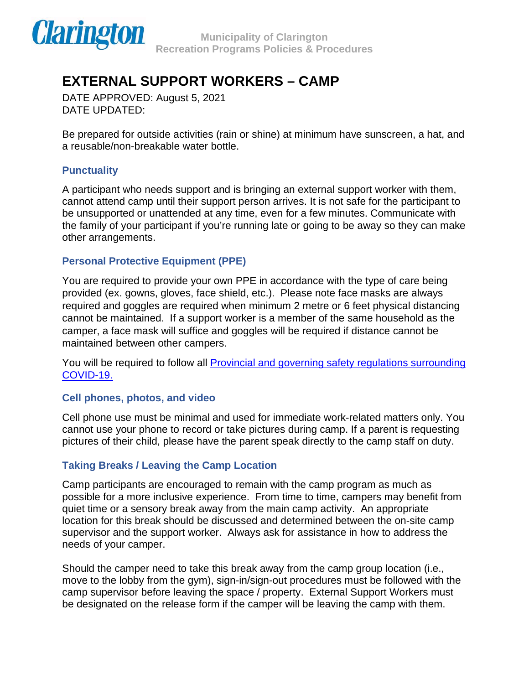

DATE APPROVED: August 5, 2021 DATE UPDATED:

Be prepared for outside activities (rain or shine) at minimum have sunscreen, a hat, and a reusable/non-breakable water bottle.

### **Punctuality**

A participant who needs support and is bringing an external support worker with them, cannot attend camp until their support person arrives. It is not safe for the participant to be unsupported or unattended at any time, even for a few minutes. Communicate with the family of your participant if you're running late or going to be away so they can make other arrangements.

## **Personal Protective Equipment (PPE)**

You are required to provide your own PPE in accordance with the type of care being provided (ex. gowns, gloves, face shield, etc.). Please note face masks are always required and goggles are required when minimum 2 metre or 6 feet physical distancing cannot be maintained. If a support worker is a member of the same household as the camper, a face mask will suffice and goggles will be required if distance cannot be maintained between other campers.

You will be required to follow all [Provincial and governing safety regulations surrounding](https://www.health.gov.on.ca/en/pro/programs/publichealth/coronavirus/docs/2019_summer_day_camps_guidance.pdf)  [COVID-19.](https://www.health.gov.on.ca/en/pro/programs/publichealth/coronavirus/docs/2019_summer_day_camps_guidance.pdf)

#### **Cell phones, photos, and video**

Cell phone use must be minimal and used for immediate work-related matters only. You cannot use your phone to record or take pictures during camp. If a parent is requesting pictures of their child, please have the parent speak directly to the camp staff on duty.

## **Taking Breaks / Leaving the Camp Location**

Camp participants are encouraged to remain with the camp program as much as possible for a more inclusive experience. From time to time, campers may benefit from quiet time or a sensory break away from the main camp activity. An appropriate location for this break should be discussed and determined between the on-site camp supervisor and the support worker. Always ask for assistance in how to address the needs of your camper.

Should the camper need to take this break away from the camp group location (i.e., move to the lobby from the gym), sign-in/sign-out procedures must be followed with the camp supervisor before leaving the space / property. External Support Workers must be designated on the release form if the camper will be leaving the camp with them.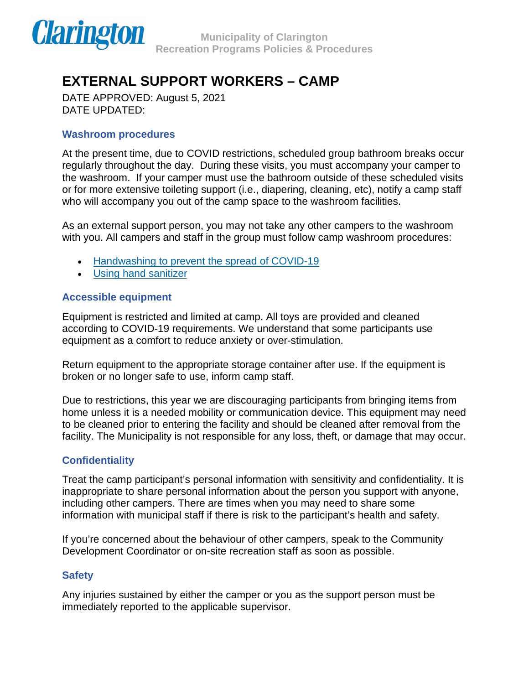

DATE APPROVED: August 5, 2021 DATE UPDATED:

### **Washroom procedures**

At the present time, due to COVID restrictions, scheduled group bathroom breaks occur regularly throughout the day. During these visits, you must accompany your camper to the washroom. If your camper must use the bathroom outside of these scheduled visits or for more extensive toileting support (i.e., diapering, cleaning, etc), notify a camp staff who will accompany you out of the camp space to the washroom facilities.

As an external support person, you may not take any other campers to the washroom with you. All campers and staff in the group must follow camp washroom procedures:

- [Handwashing to prevent the spread of COVID-19](https://www.canada.ca/content/dam/phac-aspc/documents/services/publications/diseases-conditions/coronavirus/covid-19-handwashing/covid-19-handwashing-eng.pdf)
- [Using hand sanitizer](https://www.publichealthontario.ca/-/media/documents/J/2009/jcyh-handrub.pdf?la=en)

## **Accessible equipment**

Equipment is restricted and limited at camp. All toys are provided and cleaned according to COVID-19 requirements. We understand that some participants use equipment as a comfort to reduce anxiety or over-stimulation.

Return equipment to the appropriate storage container after use. If the equipment is broken or no longer safe to use, inform camp staff.

Due to restrictions, this year we are discouraging participants from bringing items from home unless it is a needed mobility or communication device. This equipment may need to be cleaned prior to entering the facility and should be cleaned after removal from the facility. The Municipality is not responsible for any loss, theft, or damage that may occur.

#### **Confidentiality**

Treat the camp participant's personal information with sensitivity and confidentiality. It is inappropriate to share personal information about the person you support with anyone, including other campers. There are times when you may need to share some information with municipal staff if there is risk to the participant's health and safety.

If you're concerned about the behaviour of other campers, speak to the Community Development Coordinator or on-site recreation staff as soon as possible.

#### **Safety**

Any injuries sustained by either the camper or you as the support person must be immediately reported to the applicable supervisor.